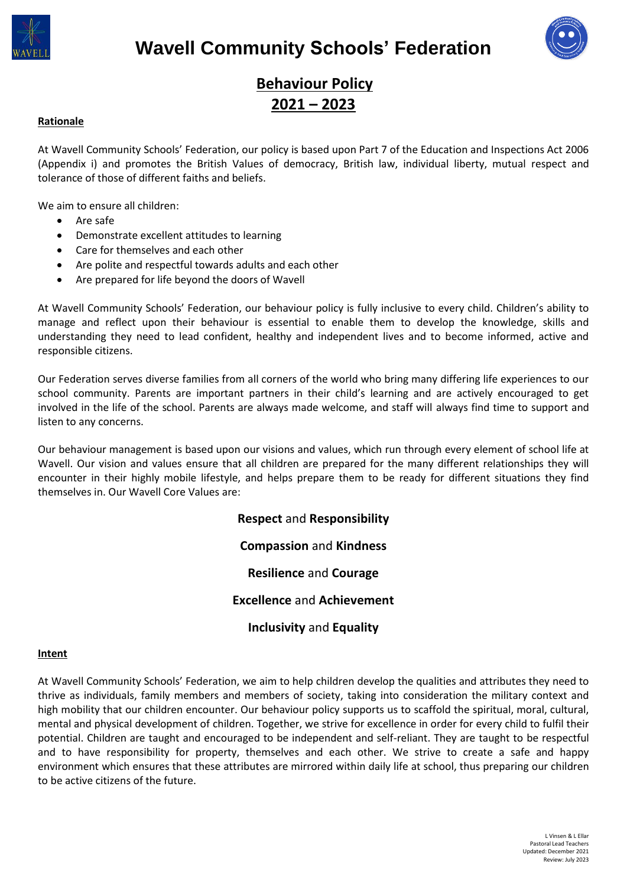



# **Behaviour Policy 2021 – 2023**

# **Rationale**

At Wavell Community Schools' Federation, our policy is based upon Part 7 of the Education and Inspections Act 2006 (Appendix i) and promotes the British Values of democracy, British law, individual liberty, mutual respect and tolerance of those of different faiths and beliefs.

We aim to ensure all children:

- Are safe
- Demonstrate excellent attitudes to learning
- Care for themselves and each other
- Are polite and respectful towards adults and each other
- Are prepared for life beyond the doors of Wavell

At Wavell Community Schools' Federation, our behaviour policy is fully inclusive to every child. Children's ability to manage and reflect upon their behaviour is essential to enable them to develop the knowledge, skills and understanding they need to lead confident, healthy and independent lives and to become informed, active and responsible citizens.

Our Federation serves diverse families from all corners of the world who bring many differing life experiences to our school community. Parents are important partners in their child's learning and are actively encouraged to get involved in the life of the school. Parents are always made welcome, and staff will always find time to support and listen to any concerns.

Our behaviour management is based upon our visions and values, which run through every element of school life at Wavell. Our vision and values ensure that all children are prepared for the many different relationships they will encounter in their highly mobile lifestyle, and helps prepare them to be ready for different situations they find themselves in. Our Wavell Core Values are:

> **Respect** and **Responsibility Compassion** and **Kindness Resilience** and **Courage Excellence** and **Achievement Inclusivity** and **Equality**

#### **Intent**

At Wavell Community Schools' Federation, we aim to help children develop the qualities and attributes they need to thrive as individuals, family members and members of society, taking into consideration the military context and high mobility that our children encounter. Our behaviour policy supports us to scaffold the spiritual, moral, cultural, mental and physical development of children. Together, we strive for excellence in order for every child to fulfil their potential. Children are taught and encouraged to be independent and self-reliant. They are taught to be respectful and to have responsibility for property, themselves and each other. We strive to create a safe and happy environment which ensures that these attributes are mirrored within daily life at school, thus preparing our children to be active citizens of the future.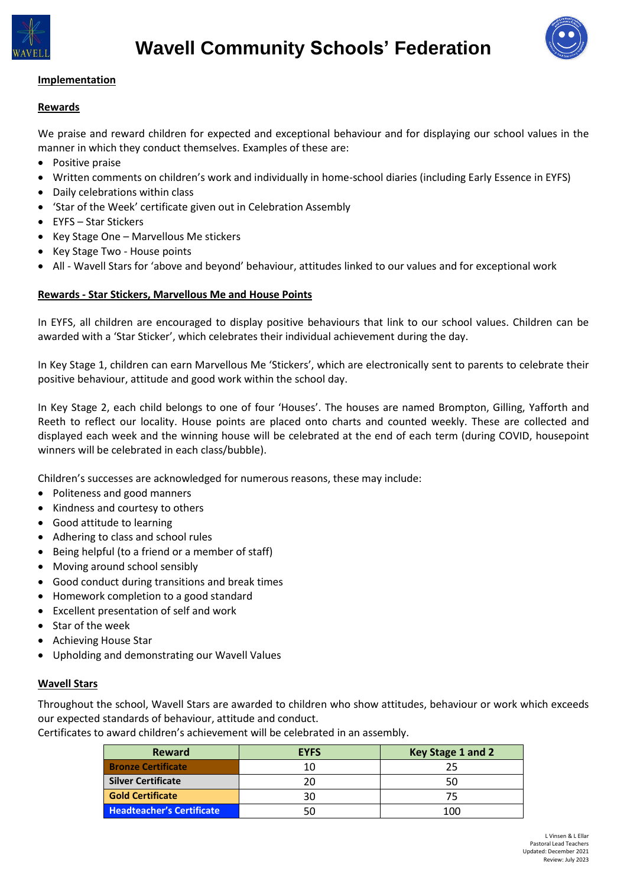



# **Implementation**

## **Rewards**

We praise and reward children for expected and exceptional behaviour and for displaying our school values in the manner in which they conduct themselves. Examples of these are:

- Positive praise
- Written comments on children's work and individually in home-school diaries (including Early Essence in EYFS)
- Daily celebrations within class
- 'Star of the Week' certificate given out in Celebration Assembly
- EYFS Star Stickers
- Key Stage One Marvellous Me stickers
- Key Stage Two House points
- All Wavell Stars for 'above and beyond' behaviour, attitudes linked to our values and for exceptional work

## **Rewards - Star Stickers, Marvellous Me and House Points**

In EYFS, all children are encouraged to display positive behaviours that link to our school values. Children can be awarded with a 'Star Sticker', which celebrates their individual achievement during the day.

In Key Stage 1, children can earn Marvellous Me 'Stickers', which are electronically sent to parents to celebrate their positive behaviour, attitude and good work within the school day.

In Key Stage 2, each child belongs to one of four 'Houses'. The houses are named Brompton, Gilling, Yafforth and Reeth to reflect our locality. House points are placed onto charts and counted weekly. These are collected and displayed each week and the winning house will be celebrated at the end of each term (during COVID, housepoint winners will be celebrated in each class/bubble).

Children's successes are acknowledged for numerous reasons, these may include:

- Politeness and good manners
- Kindness and courtesy to others
- Good attitude to learning
- Adhering to class and school rules
- Being helpful (to a friend or a member of staff)
- Moving around school sensibly
- Good conduct during transitions and break times
- Homework completion to a good standard
- Excellent presentation of self and work
- Star of the week
- Achieving House Star
- Upholding and demonstrating our Wavell Values

#### **Wavell Stars**

Throughout the school, Wavell Stars are awarded to children who show attitudes, behaviour or work which exceeds our expected standards of behaviour, attitude and conduct.

Certificates to award children's achievement will be celebrated in an assembly.

| <b>Reward</b>                    | <b>EYFS</b> | Key Stage 1 and 2 |
|----------------------------------|-------------|-------------------|
| <b>Bronze Certificate</b>        | 10          |                   |
| <b>Silver Certificate</b>        | 20          |                   |
| <b>Gold Certificate</b>          | 30          | 75                |
| <b>Headteacher's Certificate</b> |             | 100               |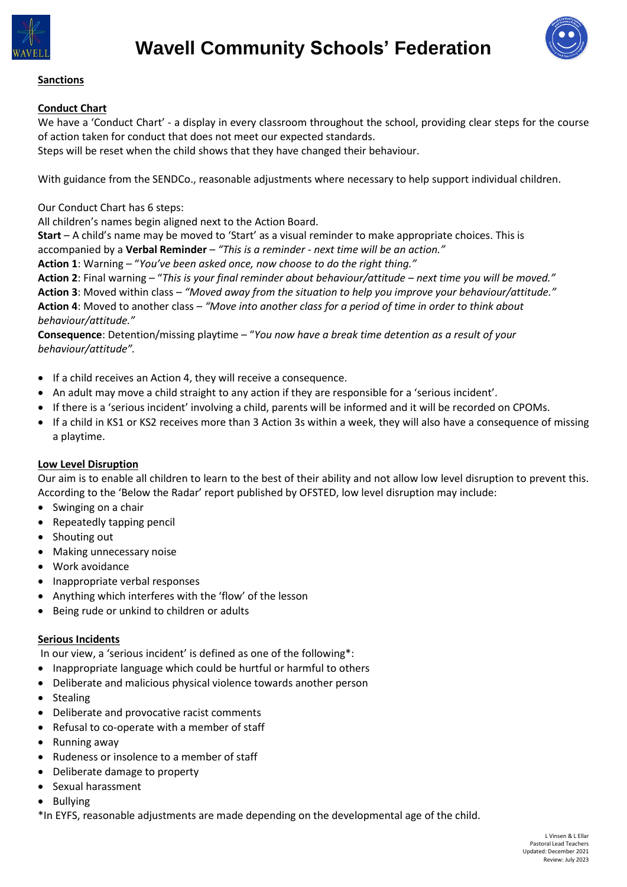



# **Sanctions**

# **Conduct Chart**

We have a 'Conduct Chart' - a display in every classroom throughout the school, providing clear steps for the course of action taken for conduct that does not meet our expected standards.

Steps will be reset when the child shows that they have changed their behaviour.

With guidance from the SENDCo., reasonable adjustments where necessary to help support individual children.

Our Conduct Chart has 6 steps:

All children's names begin aligned next to the Action Board.

**Start** – A child's name may be moved to 'Start' as a visual reminder to make appropriate choices. This is accompanied by a **Verbal Reminder** – *"This is a reminder - next time will be an action."*

**Action 1**: Warning – "*You've been asked once, now choose to do the right thing."*

**Action 2**: Final warning – "*This is your final reminder about behaviour/attitude – next time you will be moved."* **Action 3**: Moved within class – *"Moved away from the situation to help you improve your behaviour/attitude."* **Action 4**: Moved to another class – *"Move into another class for a period of time in order to think about behaviour/attitude."*

**Consequence**: Detention/missing playtime – "*You now have a break time detention as a result of your behaviour/attitude".*

- If a child receives an Action 4, they will receive a consequence.
- An adult may move a child straight to any action if they are responsible for a 'serious incident'.
- If there is a 'serious incident' involving a child, parents will be informed and it will be recorded on CPOMs.
- If a child in KS1 or KS2 receives more than 3 Action 3s within a week, they will also have a consequence of missing a playtime.

## **Low Level Disruption**

Our aim is to enable all children to learn to the best of their ability and not allow low level disruption to prevent this. According to the 'Below the Radar' report published by OFSTED, low level disruption may include:

- Swinging on a chair
- Repeatedly tapping pencil
- Shouting out
- Making unnecessary noise
- Work avoidance
- Inappropriate verbal responses
- Anything which interferes with the 'flow' of the lesson
- Being rude or unkind to children or adults

## **Serious Incidents**

In our view, a 'serious incident' is defined as one of the following\*:

- Inappropriate language which could be hurtful or harmful to others
- Deliberate and malicious physical violence towards another person
- Stealing
- Deliberate and provocative racist comments
- Refusal to co-operate with a member of staff
- Running away
- Rudeness or insolence to a member of staff
- Deliberate damage to property
- Sexual harassment
- Bullying

\*In EYFS, reasonable adjustments are made depending on the developmental age of the child.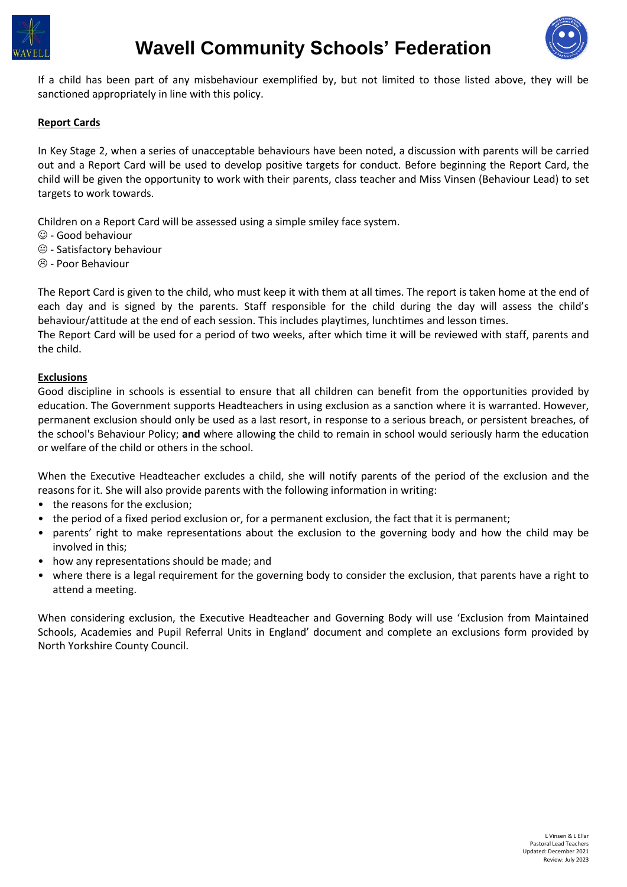



If a child has been part of any misbehaviour exemplified by, but not limited to those listed above, they will be sanctioned appropriately in line with this policy.

## **Report Cards**

In Key Stage 2, when a series of unacceptable behaviours have been noted, a discussion with parents will be carried out and a Report Card will be used to develop positive targets for conduct. Before beginning the Report Card, the child will be given the opportunity to work with their parents, class teacher and Miss Vinsen (Behaviour Lead) to set targets to work towards.

Children on a Report Card will be assessed using a simple smiley face system.

- $\odot$  Good behaviour
- $\bigcirc$  Satisfactory behaviour
- $\circledR$  Poor Behaviour

The Report Card is given to the child, who must keep it with them at all times. The report is taken home at the end of each day and is signed by the parents. Staff responsible for the child during the day will assess the child's behaviour/attitude at the end of each session. This includes playtimes, lunchtimes and lesson times.

The Report Card will be used for a period of two weeks, after which time it will be reviewed with staff, parents and the child.

#### **Exclusions**

Good discipline in schools is essential to ensure that all children can benefit from the opportunities provided by education. The Government supports Headteachers in using exclusion as a sanction where it is warranted. However, permanent exclusion should only be used as a last resort, in response to a serious breach, or persistent breaches, of the school's Behaviour Policy; **and** where allowing the child to remain in school would seriously harm the education or welfare of the child or others in the school.

When the Executive Headteacher excludes a child, she will notify parents of the period of the exclusion and the reasons for it. She will also provide parents with the following information in writing:

- the reasons for the exclusion;
- the period of a fixed period exclusion or, for a permanent exclusion, the fact that it is permanent;
- parents' right to make representations about the exclusion to the governing body and how the child may be involved in this;
- how any representations should be made; and
- where there is a legal requirement for the governing body to consider the exclusion, that parents have a right to attend a meeting.

When considering exclusion, the Executive Headteacher and Governing Body will use 'Exclusion from Maintained Schools, Academies and Pupil Referral Units in England' document and complete an exclusions form provided by North Yorkshire County Council.